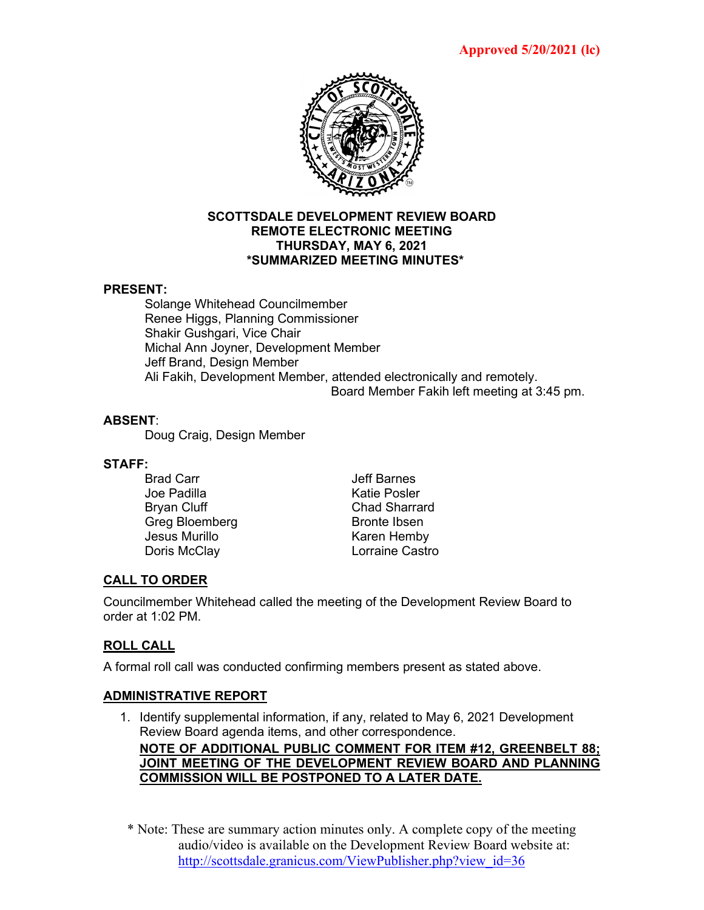

#### **SCOTTSDALE DEVELOPMENT REVIEW BOARD REMOTE ELECTRONIC MEETING THURSDAY, MAY 6, 2021 \*SUMMARIZED MEETING MINUTES\***

#### **PRESENT:**

Solange Whitehead Councilmember Renee Higgs, Planning Commissioner Shakir Gushgari, Vice Chair Michal Ann Joyner, Development Member Jeff Brand, Design Member Ali Fakih, Development Member, attended electronically and remotely. Board Member Fakih left meeting at 3:45 pm.

## **ABSENT**:

Doug Craig, Design Member

# **STAFF:**

- Joe Padilla Bryan Cluff Chad Sharrard Greg Bloemberg Bronte Ibsen Jesus Murillo **Karen Hemby** Doris McClay **Lorraine Castro**
- Jeff Barnes<br>Katie Posler

# **CALL TO ORDER**

Councilmember Whitehead called the meeting of the Development Review Board to order at 1:02 PM.

# **ROLL CALL**

A formal roll call was conducted confirming members present as stated above.

## **ADMINISTRATIVE REPORT**

1. Identify supplemental information, if any, related to May 6, 2021 Development Review Board agenda items, and other correspondence.

# **NOTE OF ADDITIONAL PUBLIC COMMENT FOR ITEM #12, GREENBELT 88; JOINT MEETING OF THE DEVELOPMENT REVIEW BOARD AND PLANNING COMMISSION WILL BE POSTPONED TO A LATER DATE.**

\* Note: These are summary action minutes only. A complete copy of the meeting audio/video is available on the Development Review Board website at: [http://scottsdale.granicus.com/ViewPublisher.php?view\\_id=36](http://scottsdale.granicus.com/ViewPublisher.php?view_id=36)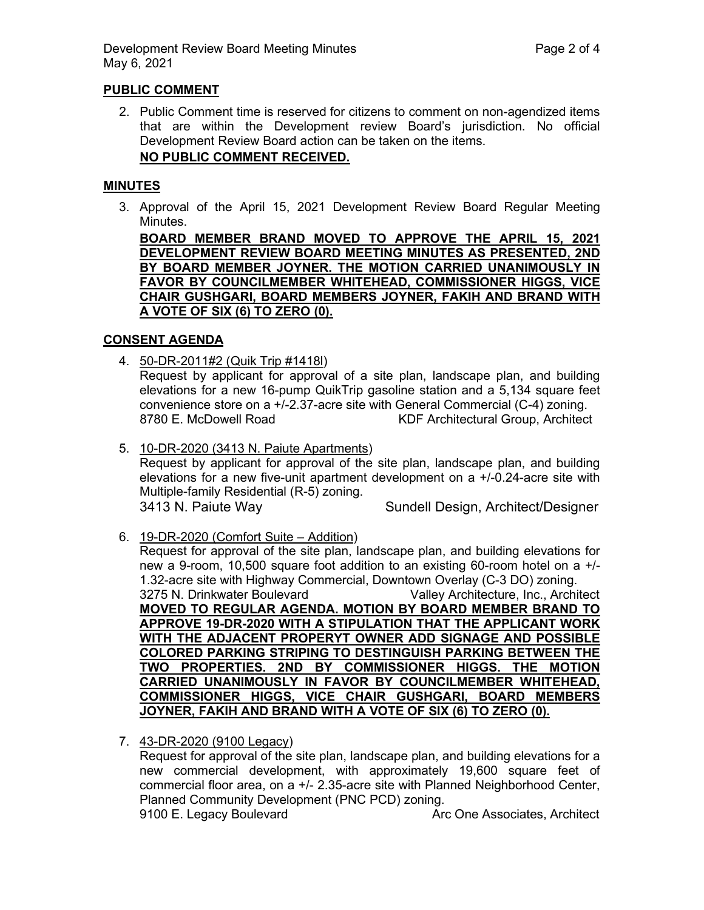### **PUBLIC COMMENT**

2. Public Comment time is reserved for citizens to comment on non-agendized items that are within the Development review Board's jurisdiction. No official Development Review Board action can be taken on the items. **NO PUBLIC COMMENT RECEIVED.**

#### **MINUTES**

3. Approval of the April 15, 2021 Development Review Board Regular Meeting Minutes.

**BOARD MEMBER BRAND MOVED TO APPROVE THE APRIL 15, 2021 DEVELOPMENT REVIEW BOARD MEETING MINUTES AS PRESENTED, 2ND BY BOARD MEMBER JOYNER. THE MOTION CARRIED UNANIMOUSLY IN FAVOR BY COUNCILMEMBER WHITEHEAD, COMMISSIONER HIGGS, VICE CHAIR GUSHGARI, BOARD MEMBERS JOYNER, FAKIH AND BRAND WITH A VOTE OF SIX (6) TO ZERO (0).**

#### **CONSENT AGENDA**

4. 50-DR-2011#2 (Quik Trip #1418l)

Request by applicant for approval of a site plan, landscape plan, and building elevations for a new 16-pump QuikTrip gasoline station and a 5,134 square feet convenience store on a +/-2.37-acre site with General Commercial (C-4) zoning. 8780 E. McDowell Road **KDF** Architectural Group, Architect

5. 10-DR-2020 (3413 N. Paiute Apartments) Request by applicant for approval of the site plan, landscape plan, and building elevations for a new five-unit apartment development on a +/-0.24-acre site with Multiple-family Residential (R-5) zoning.

3413 N. Paiute Way Sundell Design, Architect/Designer

6. 19-DR-2020 (Comfort Suite – Addition)

Request for approval of the site plan, landscape plan, and building elevations for new a 9-room, 10,500 square foot addition to an existing 60-room hotel on a +/- 1.32-acre site with Highway Commercial, Downtown Overlay (C-3 DO) zoning. 3275 N. Drinkwater Boulevard Valley Architecture, Inc., Architect **MOVED TO REGULAR AGENDA. MOTION BY BOARD MEMBER BRAND TO APPROVE 19-DR-2020 WITH A STIPULATION THAT THE APPLICANT WORK WITH THE ADJACENT PROPERYT OWNER ADD SIGNAGE AND POSSIBLE COLORED PARKING STRIPING TO DESTINGUISH PARKING BETWEEN THE TWO PROPERTIES. 2ND BY COMMISSIONER HIGGS. THE MOTION CARRIED UNANIMOUSLY IN FAVOR BY COUNCILMEMBER WHITEHEAD, COMMISSIONER HIGGS, VICE CHAIR GUSHGARI, BOARD MEMBERS JOYNER, FAKIH AND BRAND WITH A VOTE OF SIX (6) TO ZERO (0).**

7. 43-DR-2020 (9100 Legacy)

Request for approval of the site plan, landscape plan, and building elevations for a new commercial development, with approximately 19,600 square feet of commercial floor area, on a +/- 2.35-acre site with Planned Neighborhood Center, Planned Community Development (PNC PCD) zoning.

9100 E. Legacy Boulevard **Arc One Associates, Architect** Architect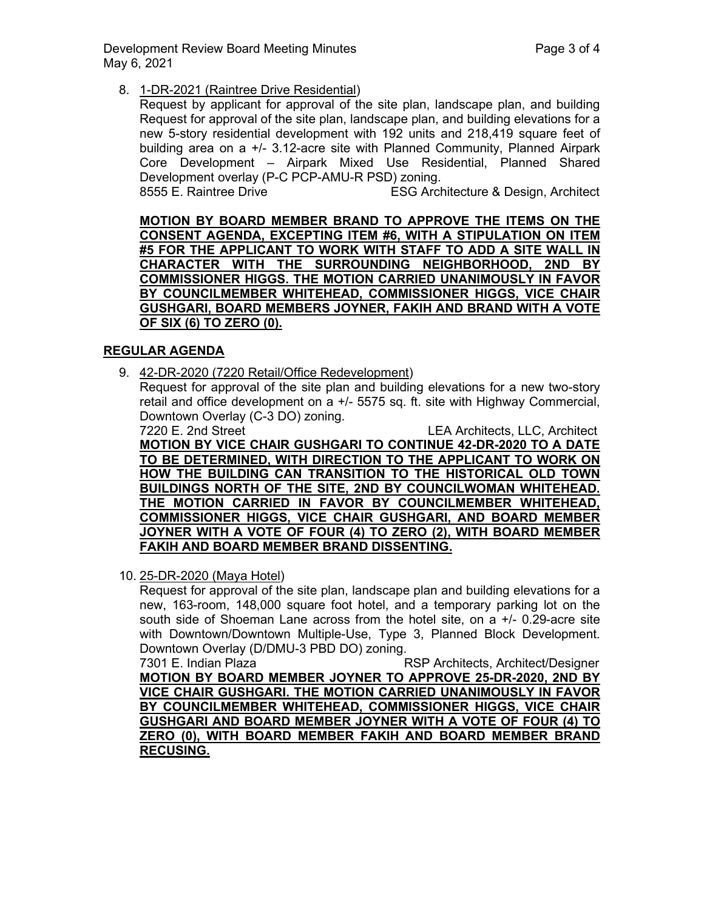Development Review Board Meeting Minutes **Page 3** of 4 May 6, 2021

8. 1-DR-2021 (Raintree Drive Residential)

Request by applicant for approval of the site plan, landscape plan, and building Request for approval of the site plan, landscape plan, and building elevations for a new 5-story residential development with 192 units and 218,419 square feet of building area on a +/- 3.12-acre site with Planned Community, Planned Airpark Core Development – Airpark Mixed Use Residential, Planned Shared Development overlay (P-C PCP-AMU-R PSD) zoning. 8555 E. Raintree Drive ESG Architecture & Design, Architect

**MOTION BY BOARD MEMBER BRAND TO APPROVE THE ITEMS ON THE CONSENT AGENDA, EXCEPTING ITEM #6, WITH A STIPULATION ON ITEM #5 FOR THE APPLICANT TO WORK WITH STAFF TO ADD A SITE WALL IN CHARACTER WITH THE SURROUNDING NEIGHBORHOOD, 2ND BY COMMISSIONER HIGGS. THE MOTION CARRIED UNANIMOUSLY IN FAVOR BY COUNCILMEMBER WHITEHEAD, COMMISSIONER HIGGS, VICE CHAIR GUSHGARI, BOARD MEMBERS JOYNER, FAKIH AND BRAND WITH A VOTE OF SIX (6) TO ZERO (0).**

# **REGULAR AGENDA**

9. 42-DR-2020 (7220 Retail/Office Redevelopment)

Request for approval of the site plan and building elevations for a new two-story retail and office development on a +/- 5575 sq. ft. site with Highway Commercial, Downtown Overlay (C-3 DO) zoning.

7220 E. 2nd Street LEA Architects, LLC, Architect **MOTION BY VICE CHAIR GUSHGARI TO CONTINUE 42-DR-2020 TO A DATE TO BE DETERMINED, WITH DIRECTION TO THE APPLICANT TO WORK ON HOW THE BUILDING CAN TRANSITION TO THE HISTORICAL OLD TOWN BUILDINGS NORTH OF THE SITE, 2ND BY COUNCILWOMAN WHITEHEAD. THE MOTION CARRIED IN FAVOR BY COUNCILMEMBER WHITEHEAD, COMMISSIONER HIGGS, VICE CHAIR GUSHGARI, AND BOARD MEMBER JOYNER WITH A VOTE OF FOUR (4) TO ZERO (2), WITH BOARD MEMBER FAKIH AND BOARD MEMBER BRAND DISSENTING.**

10. 25-DR-2020 (Maya Hotel)

Request for approval of the site plan, landscape plan and building elevations for a new, 163-room, 148,000 square foot hotel, and a temporary parking lot on the south side of Shoeman Lane across from the hotel site, on a +/- 0.29-acre site with Downtown/Downtown Multiple-Use, Type 3, Planned Block Development. Downtown Overlay (D/DMU-3 PBD DO) zoning.

RSP Architects, Architect/Designer **MOTION BY BOARD MEMBER JOYNER TO APPROVE 25-DR-2020, 2ND BY VICE CHAIR GUSHGARI. THE MOTION CARRIED UNANIMOUSLY IN FAVOR BY COUNCILMEMBER WHITEHEAD, COMMISSIONER HIGGS, VICE CHAIR GUSHGARI AND BOARD MEMBER JOYNER WITH A VOTE OF FOUR (4) TO ZERO (0), WITH BOARD MEMBER FAKIH AND BOARD MEMBER BRAND RECUSING.**